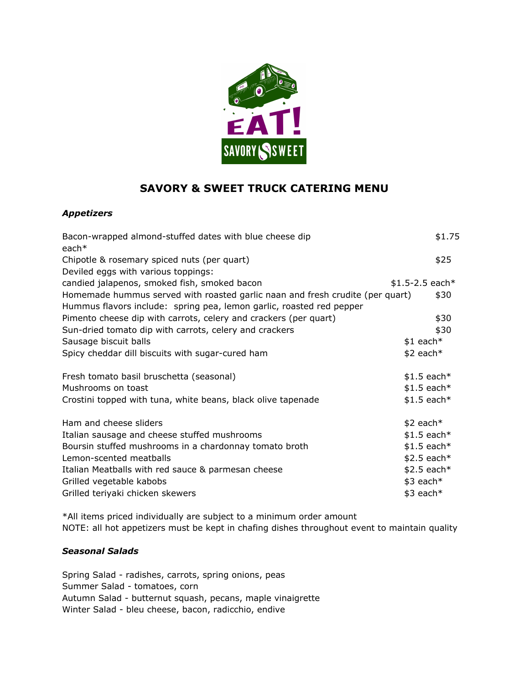

# **SAVORY & SWEET TRUCK CATERING MENU**

### *Appetizers*

| Bacon-wrapped almond-stuffed dates with blue cheese dip<br>each $*$           |                  | \$1.75 |
|-------------------------------------------------------------------------------|------------------|--------|
| Chipotle & rosemary spiced nuts (per quart)                                   |                  | \$25   |
| Deviled eggs with various toppings:                                           |                  |        |
| candied jalapenos, smoked fish, smoked bacon                                  | $$1.5-2.5$ each* |        |
| Homemade hummus served with roasted garlic naan and fresh crudite (per quart) |                  | \$30   |
| Hummus flavors include: spring pea, lemon garlic, roasted red pepper          |                  |        |
| Pimento cheese dip with carrots, celery and crackers (per quart)              |                  | \$30   |
| Sun-dried tomato dip with carrots, celery and crackers                        |                  | \$30   |
| Sausage biscuit balls                                                         | $$1$ each*       |        |
| Spicy cheddar dill biscuits with sugar-cured ham                              | $$2$ each*       |        |
|                                                                               |                  |        |
| Fresh tomato basil bruschetta (seasonal)                                      | $$1.5$ each*     |        |
| Mushrooms on toast                                                            | $$1.5$ each*     |        |
| Crostini topped with tuna, white beans, black olive tapenade                  | $$1.5$ each*     |        |
| Ham and cheese sliders                                                        | $$2$ each*       |        |
| Italian sausage and cheese stuffed mushrooms                                  | $$1.5$ each*     |        |
| Boursin stuffed mushrooms in a chardonnay tomato broth                        | $$1.5$ each*     |        |
| Lemon-scented meatballs                                                       | $$2.5$ each*     |        |
| Italian Meatballs with red sauce & parmesan cheese                            | $$2.5$ each*     |        |
| Grilled vegetable kabobs                                                      | $$3$ each*       |        |
| Grilled teriyaki chicken skewers                                              | $$3$ each*       |        |
|                                                                               |                  |        |

\*All items priced individually are subject to a minimum order amount NOTE: all hot appetizers must be kept in chafing dishes throughout event to maintain quality

#### *Seasonal Salads*

Spring Salad - radishes, carrots, spring onions, peas Summer Salad - tomatoes, corn Autumn Salad - butternut squash, pecans, maple vinaigrette Winter Salad - bleu cheese, bacon, radicchio, endive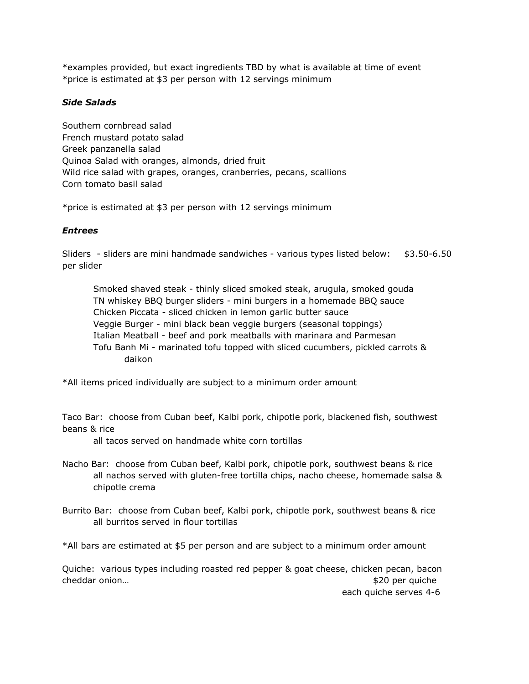\*examples provided, but exact ingredients TBD by what is available at time of event \*price is estimated at \$3 per person with 12 servings minimum

#### *Side Salads*

Southern cornbread salad French mustard potato salad Greek panzanella salad Quinoa Salad with oranges, almonds, dried fruit Wild rice salad with grapes, oranges, cranberries, pecans, scallions Corn tomato basil salad

\*price is estimated at \$3 per person with 12 servings minimum

#### *Entrees*

Sliders - sliders are mini handmade sandwiches - various types listed below: \$3.50-6.50 per slider

Smoked shaved steak - thinly sliced smoked steak, arugula, smoked gouda TN whiskey BBQ burger sliders - mini burgers in a homemade BBQ sauce Chicken Piccata - sliced chicken in lemon garlic butter sauce Veggie Burger - mini black bean veggie burgers (seasonal toppings) Italian Meatball - beef and pork meatballs with marinara and Parmesan Tofu Banh Mi - marinated tofu topped with sliced cucumbers, pickled carrots & daikon

\*All items priced individually are subject to a minimum order amount

Taco Bar: choose from Cuban beef, Kalbi pork, chipotle pork, blackened fish, southwest beans & rice

all tacos served on handmade white corn tortillas

- Nacho Bar: choose from Cuban beef, Kalbi pork, chipotle pork, southwest beans & rice all nachos served with gluten-free tortilla chips, nacho cheese, homemade salsa & chipotle crema
- Burrito Bar: choose from Cuban beef, Kalbi pork, chipotle pork, southwest beans & rice all burritos served in flour tortillas

\*All bars are estimated at \$5 per person and are subject to a minimum order amount

Quiche: various types including roasted red pepper & goat cheese, chicken pecan, bacon cheddar onion… **below** the cheddar onion…

each quiche serves 4-6